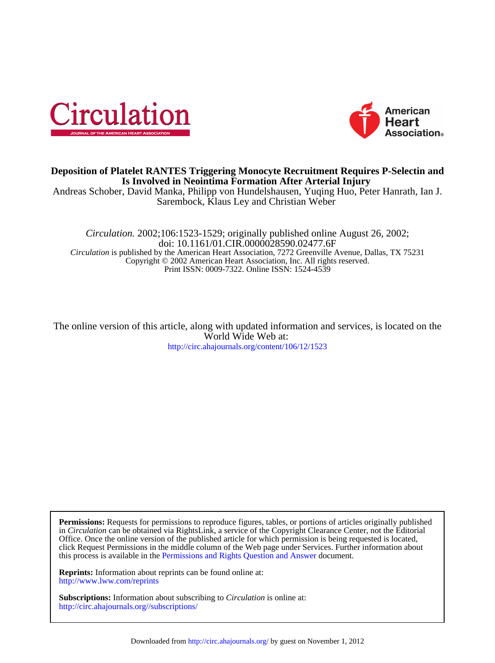



# **Is Involved in Neointima Formation After Arterial Injury Deposition of Platelet RANTES Triggering Monocyte Recruitment Requires P-Selectin and**

Sarembock, Klaus Ley and Christian Weber Andreas Schober, David Manka, Philipp von Hundelshausen, Yuqing Huo, Peter Hanrath, Ian J.

Print ISSN: 0009-7322. Online ISSN: 1524-4539 Copyright © 2002 American Heart Association, Inc. All rights reserved. *Circulation* is published by the American Heart Association, 7272 Greenville Avenue, Dallas, TX 75231 doi: 10.1161/01.CIR.0000028590.02477.6F *Circulation.* 2002;106:1523-1529; originally published online August 26, 2002;

<http://circ.ahajournals.org/content/106/12/1523> World Wide Web at: The online version of this article, along with updated information and services, is located on the

this process is available in the [Permissions and Rights Question and Answer d](http://www.ahajournals.org/site/rights/)ocument. click Request Permissions in the middle column of the Web page under Services. Further information about Office. Once the online version of the published article for which permission is being requested is located, in *Circulation* can be obtained via RightsLink, a service of the Copyright Clearance Center, not the Editorial **Permissions:** Requests for permissions to reproduce figures, tables, or portions of articles originally published

<http://www.lww.com/reprints> **Reprints:** Information about reprints can be found online at:

<http://circ.ahajournals.org//subscriptions/> **Subscriptions:** Information about subscribing to *Circulation* is online at: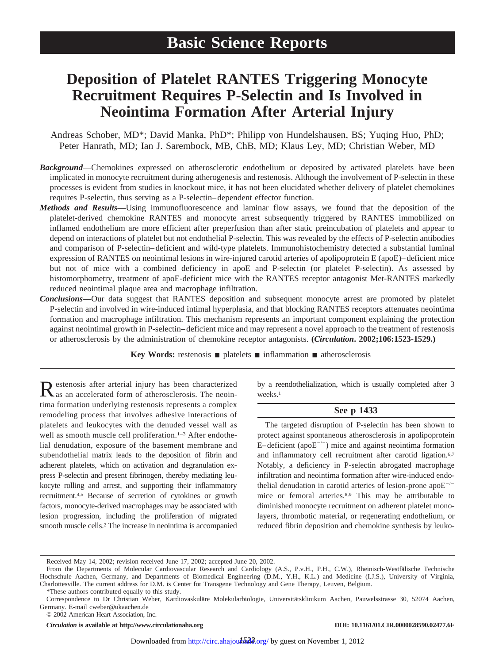# **Deposition of Platelet RANTES Triggering Monocyte Recruitment Requires P-Selectin and Is Involved in Neointima Formation After Arterial Injury**

Andreas Schober, MD\*; David Manka, PhD\*; Philipp von Hundelshausen, BS; Yuqing Huo, PhD; Peter Hanrath, MD; Ian J. Sarembock, MB, ChB, MD; Klaus Ley, MD; Christian Weber, MD

- *Background*—Chemokines expressed on atherosclerotic endothelium or deposited by activated platelets have been implicated in monocyte recruitment during atherogenesis and restenosis. Although the involvement of P-selectin in these processes is evident from studies in knockout mice, it has not been elucidated whether delivery of platelet chemokines requires P-selectin, thus serving as a P-selectin–dependent effector function.
- *Methods and Results*—Using immunofluorescence and laminar flow assays, we found that the deposition of the platelet-derived chemokine RANTES and monocyte arrest subsequently triggered by RANTES immobilized on inflamed endothelium are more efficient after preperfusion than after static preincubation of platelets and appear to depend on interactions of platelet but not endothelial P-selectin. This was revealed by the effects of P-selectin antibodies and comparison of P-selectin–deficient and wild-type platelets. Immunohistochemistry detected a substantial luminal expression of RANTES on neointimal lesions in wire-injured carotid arteries of apolipoprotein E (apoE)–deficient mice but not of mice with a combined deficiency in apoE and P-selectin (or platelet P-selectin). As assessed by histomorphometry, treatment of apoE-deficient mice with the RANTES receptor antagonist Met-RANTES markedly reduced neointimal plaque area and macrophage infiltration.
- *Conclusions*—Our data suggest that RANTES deposition and subsequent monocyte arrest are promoted by platelet P-selectin and involved in wire-induced intimal hyperplasia, and that blocking RANTES receptors attenuates neointima formation and macrophage infiltration. This mechanism represents an important component explaining the protection against neointimal growth in P-selectin–deficient mice and may represent a novel approach to the treatment of restenosis or atherosclerosis by the administration of chemokine receptor antagonists. **(***Circulation***. 2002;106:1523-1529.)**

**Key Words:** restenosis **platelets inflammation atherosclerosis** 

Restenosis after arterial injury has been characterized as an accelerated form of atherosclerosis. The neointima formation underlying restenosis represents a complex remodeling process that involves adhesive interactions of platelets and leukocytes with the denuded vessel wall as well as smooth muscle cell proliferation.<sup>1–3</sup> After endothelial denudation, exposure of the basement membrane and subendothelial matrix leads to the deposition of fibrin and adherent platelets, which on activation and degranulation express P-selectin and present fibrinogen, thereby mediating leukocyte rolling and arrest, and supporting their inflammatory recruitment.4,5 Because of secretion of cytokines or growth factors, monocyte-derived macrophages may be associated with lesion progression, including the proliferation of migrated smooth muscle cells.2 The increase in neointima is accompanied

by a reendothelialization, which is usually completed after 3 weeks.<sup>1</sup>

# **See p 1433**

The targeted disruption of P-selectin has been shown to protect against spontaneous atherosclerosis in apolipoprotein E–deficient (apo $E^{-/-}$ ) mice and against neointima formation and inflammatory cell recruitment after carotid ligation.<sup>6,7</sup> Notably, a deficiency in P-selectin abrogated macrophage infiltration and neointima formation after wire-induced endothelial denudation in carotid arteries of lesion-prone apo $E^{-/-}$ mice or femoral arteries.8,9 This may be attributable to diminished monocyte recruitment on adherent platelet monolayers, thrombotic material, or regenerating endothelium, or reduced fibrin deposition and chemokine synthesis by leuko-

*Circulation* is available at http://www.circulationaha.org DOI: 10.1161/01.CIR.0000028590.02477.6F

Received May 14, 2002; revision received June 17, 2002; accepted June 20, 2002.

From the Departments of Molecular Cardiovascular Research and Cardiology (A.S., P.v.H., P.H., C.W.), Rheinisch-Westfälische Technische Hochschule Aachen, Germany, and Departments of Biomedical Engineering (D.M., Y.H., K.L.) and Medicine (I.J.S.), University of Virginia, Charlottesville. The current address for D.M. is Center for Transgene Technology and Gene Therapy, Leuven, Belgium. \*These authors contributed equally to this study.

Correspondence to Dr Christian Weber, Kardiovaskuläre Molekularbiologie, Universitätsklinikum Aachen, Pauwelsstrasse 30, 52074 Aachen, Germany. E-mail cweber@ukaachen.de

<sup>© 2002</sup> American Heart Association, Inc.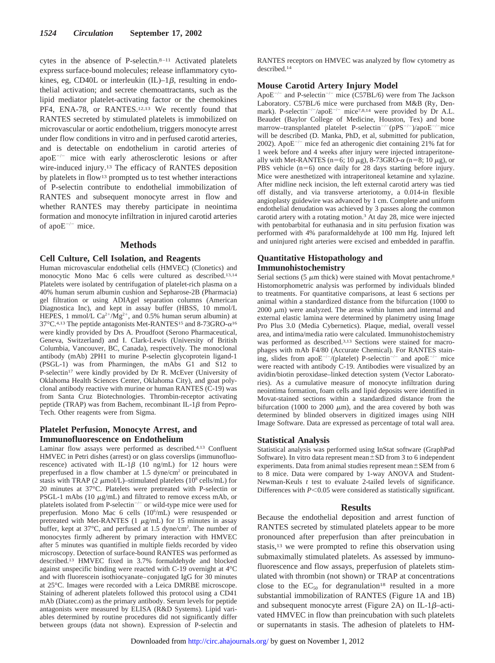cytes in the absence of P-selectin.8–11 Activated platelets express surface-bound molecules; release inflammatory cytokines, eg, CD40L or interleukin  $(IL)$ –1 $\beta$ , resulting in endothelial activation; and secrete chemoattractants, such as the lipid mediator platelet-activating factor or the chemokines PF4, ENA-78, or RANTES.<sup>12,13</sup> We recently found that RANTES secreted by stimulated platelets is immobilized on microvascular or aortic endothelium, triggers monocyte arrest under flow conditions in vitro and in perfused carotid arteries, and is detectable on endothelium in carotid arteries of apo $E^{-/-}$  mice with early atherosclerotic lesions or after wire-induced injury.13 The efficacy of RANTES deposition by platelets in flow<sup>13</sup> prompted us to test whether interactions of P-selectin contribute to endothelial immobilization of RANTES and subsequent monocyte arrest in flow and whether RANTES may thereby participate in neointima formation and monocyte infiltration in injured carotid arteries of apo $E^{-/-}$  mice.

# **Methods**

# **Cell Culture, Cell Isolation, and Reagents**

Human microvascular endothelial cells (HMVEC) (Clonetics) and monocytic Mono Mac 6 cells were cultured as described.13,14 Platelets were isolated by centrifugation of platelet-rich plasma on a 40% human serum albumin cushion and Sepharose-2B (Pharmacia) gel filtration or using ADIAgel separation columns (American Diagnostica Inc), and kept in assay buffer (HBSS, 10 mmol/L HEPES, 1 mmol/L  $Ca^{2+}/Mg^{2+}$ , and 0.5% human serum albumin) at 37°C.<sup>4,13</sup> The peptide antagonists Met-RANTES<sup>15</sup> and 8-73GRO- $\alpha^{16}$ were kindly provided by Drs A. Proudfoot (Serono Pharmaceutical, Geneva, Switzerland) and I. Clark-Lewis (University of British Columbia, Vancouver, BC, Canada), respectively. The monoclonal antibody (mAb) 2PH1 to murine P-selectin glycoprotein ligand-1 (PSGL-1) was from Pharmingen, the mAbs G1 and S12 to P-selectin<sup>17</sup> were kindly provided by Dr R. McEver (University of Oklahoma Health Sciences Center, Oklahoma City), and goat polyclonal antibody reactive with murine or human RANTES (C-19) was from Santa Cruz Biotechnologies. Thrombin-receptor activating peptide (TRAP) was from Bachem, recombinant IL-1 $\beta$  from Pepro-Tech. Other reagents were from Sigma.

# **Platelet Perfusion, Monocyte Arrest, and Immunofluorescence on Endothelium**

Laminar flow assays were performed as described.4,13 Confluent HMVEC in Petri dishes (arrest) or on glass coverslips (immunofluorescence) activated with IL-1 $\beta$  (10 ng/mL) for 12 hours were preperfused in a flow chamber at 1.5 dyne/cm2 or preincubated in stasis with TRAP (2  $\mu$ mol/L)–stimulated platelets (10<sup>8</sup> cells/mL) for 20 minutes at 37°C. Platelets were pretreated with P-selectin or PSGL-1 mAbs (10  $\mu$ g/mL) and filtrated to remove excess mAb, or platelets isolated from P-selectin<sup>-/-</sup> or wild-type mice were used for preperfusion. Mono Mac 6 cells (10<sup>6</sup>/mL) were resuspended or pretreated with Met-RANTES (1  $\mu$ g/mL) for 15 minutes in assay buffer, kept at  $37^{\circ}$ C, and perfused at 1.5 dyne/cm<sup>2</sup>. The number of monocytes firmly adherent by primary interaction with HMVEC after 5 minutes was quantified in multiple fields recorded by video microscopy. Detection of surface-bound RANTES was performed as described.13 HMVEC fixed in 3.7% formaldehyde and blocked against unspecific binding were reacted with C-19 overnight at 4°C and with fluorescein isothiocyanate–conjugated IgG for 30 minutes at 25°C. Images were recorded with a Leica DMRBE microscope. Staining of adherent platelets followed this protocol using a CD41 mAb (Diatec.com) as the primary antibody. Serum levels for peptide antagonists were measured by ELISA (R&D Systems). Lipid variables determined by routine procedures did not significantly differ between groups (data not shown). Expression of P-selectin and

RANTES receptors on HMVEC was analyzed by flow cytometry as described.14

# **Mouse Carotid Artery Injury Model**

Apo $E^{-/-}$  and P-selectin<sup>-/-</sup> mice (C57BL/6) were from The Jackson Laboratory. C57BL/6 mice were purchased from M&B (Ry, Denmark). P-selectin<sup>-/-</sup>/apoE<sup>-/-</sup> mice<sup>7,8,14</sup> were provided by Dr A.L. Beaudet (Baylor College of Medicine, Houston, Tex) and bone marrow–transplanted platelet P-selectin<sup>-/-</sup>(pPS<sup>-/-</sup>)/apoE<sup>-/-</sup>mice will be described (D. Manka, PhD, et al, submitted for publication, 2002). Apo $E^{-/-}$  mice fed an atherogenic diet containing 21% fat for 1 week before and 4 weeks after injury were injected intraperitoneally with Met-RANTES (n=6; 10  $\mu$ g), 8-73GRO- $\alpha$  (n=8; 10  $\mu$ g), or PBS vehicle  $(n=6)$  once daily for 28 days starting before injury. Mice were anesthetized with intraperitoneal ketamine and xylazine. After midline neck incision, the left external carotid artery was tied off distally, and via transverse arteriotomy, a 0.014-in flexible angioplasty guidewire was advanced by 1 cm. Complete and uniform endothelial denudation was achieved by 3 passes along the common carotid artery with a rotating motion.3 At day 28, mice were injected with pentobarbital for euthanasia and in situ perfusion fixation was performed with 4% paraformaldehyde at 100 mm Hg. Injured left and uninjured right arteries were excised and embedded in paraffin.

# **Quantitative Histopathology and Immunohistochemistry**

Serial sections (5  $\mu$ m thick) were stained with Movat pentachrome.<sup>8</sup> Histomorphometric analysis was performed by individuals blinded to treatments. For quantitative comparisons, at least 6 sections per animal within a standardized distance from the bifurcation (1000 to  $2000 \mu m$ ) were analyzed. The areas within lumen and internal and external elastic lamina were determined by planimetry using Image Pro Plus 3.0 (Media Cybernetics). Plaque, medial, overall vessel area, and intima/media ratio were calculated. Immunohistochemistry was performed as described.3,13 Sections were stained for macrophages with mAb F4/80 (Accurate Chemical). For RANTES staining, slides from apo $E^{-/-}/($ platelet) P-selectin<sup>-/-</sup> and apo $E^{-/-}$  mice were reacted with antibody C-19. Antibodies were visualized by an avidin/biotin peroxidase–linked detection system (Vector Laboratories). As a cumulative measure of monocyte infiltration during neointima formation, foam cells and lipid deposits were identified in Movat-stained sections within a standardized distance from the bifurcation (1000 to 2000  $\mu$ m), and the area covered by both was determined by blinded observers in digitized images using NIH Image Software. Data are expressed as percentage of total wall area.

# **Statistical Analysis**

Statistical analysis was performed using InStat software (GraphPad Software). In vitro data represent mean $\pm$ SD from 3 to 6 independent experiments. Data from animal studies represent mean $\pm$ SEM from 6 to 8 mice. Data were compared by 1-way ANOVA and Student-Newman-Keuls *t* test to evaluate 2-tailed levels of significance. Differences with  $P<0.05$  were considered as statistically significant.

# **Results**

Because the endothelial deposition and arrest function of RANTES secreted by stimulated platelets appear to be more pronounced after preperfusion than after preincubation in stasis,<sup>13</sup> we were prompted to refine this observation using submaximally stimulated platelets. As assessed by immunofluorescence and flow assays, preperfusion of platelets stimulated with thrombin (not shown) or TRAP at concentrations close to the  $EC_{50}$  for degranulation<sup>18</sup> resulted in a more substantial immobilization of RANTES (Figure 1A and 1B) and subsequent monocyte arrest (Figure 2A) on IL-1 $\beta$ –activated HMVEC in flow than preincubation with such platelets or supernatants in stasis. The adhesion of platelets to HM-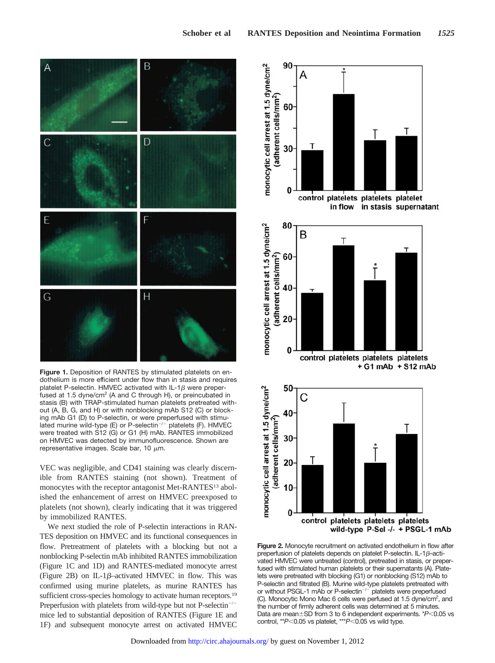

**Figure 1.** Deposition of RANTES by stimulated platelets on endothelium is more efficient under flow than in stasis and requires platelet P-selectin. HMVEC activated with IL-1 $\beta$  were preperfused at 1.5 dyne/cm<sup>2</sup> (A and C through H), or preincubated in stasis (B) with TRAP-stimulated human platelets pretreated without (A, B, G, and H) or with nonblocking mAb S12 (C) or blocking mAb G1 (D) to P-selectin, or were preperfused with stimulated murine wild-type (E) or  $P$ -selectin<sup>-/-</sup> platelets (F). HMVEC were treated with S12 (G) or G1 (H) mAb. RANTES immobilized on HMVEC was detected by immunofluorescence. Shown are representative images. Scale bar, 10  $\mu$ m.

VEC was negligible, and CD41 staining was clearly discernible from RANTES staining (not shown). Treatment of monocytes with the receptor antagonist Met-RANTES<sup>13</sup> abolished the enhancement of arrest on HMVEC preexposed to platelets (not shown), clearly indicating that it was triggered by immobilized RANTES.

We next studied the role of P-selectin interactions in RAN-TES deposition on HMVEC and its functional consequences in flow. Pretreatment of platelets with a blocking but not a nonblocking P-selectin mAb inhibited RANTES immobilization (Figure 1C and 1D) and RANTES-mediated monocyte arrest (Figure 2B) on IL-1 $\beta$ -activated HMVEC in flow. This was confirmed using murine platelets, as murine RANTES has sufficient cross-species homology to activate human receptors.<sup>19</sup> Preperfusion with platelets from wild-type but not  $P$ -selectin<sup>-/-</sup> mice led to substantial deposition of RANTES (Figure 1E and 1F) and subsequent monocyte arrest on activated HMVEC



**Figure 2.** Monocyte recruitment on activated endothelium in flow after preperfusion of platelets depends on platelet P-selectin. IL-1 $\beta$ -activated HMVEC were untreated (control), pretreated in stasis, or preperfused with stimulated human platelets or their supernatants (A). Platelets were pretreated with blocking (G1) or nonblocking (S12) mAb to P-selectin and filtrated (B). Murine wild-type platelets pretreated with or without PSGL-1 mAb or P-selectin<sup>-/-</sup> platelets were preperfused (C). Monocytic Mono Mac 6 cells were perfused at 1.5 dyne/cm<sup>2</sup>, and the number of firmly adherent cells was determined at 5 minutes. Data are mean ± SD from 3 to 6 independent experiments. \**P*<0.05 vs control, \*\**P*<0.05 vs platelet, \*\*\**P*<0.05 vs wild type.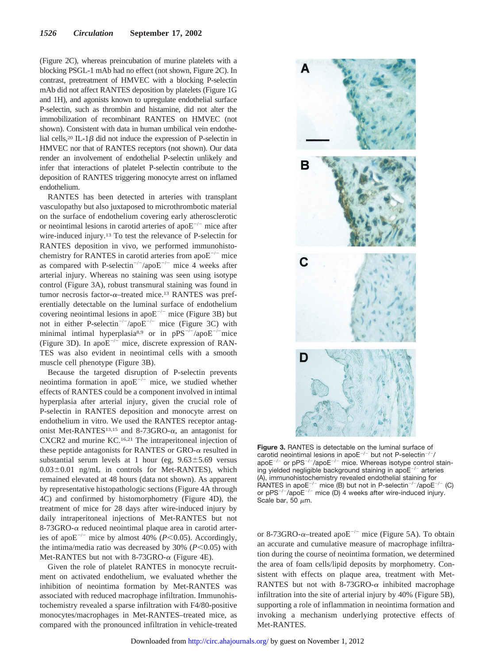(Figure 2C), whereas preincubation of murine platelets with a blocking PSGL-1 mAb had no effect (not shown, Figure 2C). In contrast, pretreatment of HMVEC with a blocking P-selectin mAb did not affect RANTES deposition by platelets (Figure 1G and 1H), and agonists known to upregulate endothelial surface P-selectin, such as thrombin and histamine, did not alter the immobilization of recombinant RANTES on HMVEC (not shown). Consistent with data in human umbilical vein endothelial cells,<sup>20</sup> IL-1 $\beta$  did not induce the expression of P-selectin in HMVEC nor that of RANTES receptors (not shown). Our data render an involvement of endothelial P-selectin unlikely and infer that interactions of platelet P-selectin contribute to the deposition of RANTES triggering monocyte arrest on inflamed endothelium.

RANTES has been detected in arteries with transplant vasculopathy but also juxtaposed to microthrombotic material on the surface of endothelium covering early atherosclerotic or neointimal lesions in carotid arteries of apo $E^{-/-}$  mice after wire-induced injury.13 To test the relevance of P-selectin for RANTES deposition in vivo, we performed immunohistochemistry for RANTES in carotid arteries from apo $E^{-/-}$  mice as compared with P-selectin<sup>-/-</sup>/apo $E^{-/-}$  mice 4 weeks after arterial injury. Whereas no staining was seen using isotype control (Figure 3A), robust transmural staining was found in tumor necrosis factor- $\alpha$ -treated mice.<sup>13</sup> RANTES was preferentially detectable on the luminal surface of endothelium covering neointimal lesions in apo $E^{-/-}$  mice (Figure 3B) but not in either P-selectin<sup>-/-</sup>/apoE<sup>-/-</sup> mice (Figure 3C) with minimal intimal hyperplasia<sup>8,9</sup> or in  $pPS^{-/-}/apoE^{-/-}$ mice (Figure 3D). In apo $E^{-/-}$  mice, discrete expression of RAN-TES was also evident in neointimal cells with a smooth muscle cell phenotype (Figure 3B).

Because the targeted disruption of P-selectin prevents neointima formation in apo $E^{-/-}$  mice, we studied whether effects of RANTES could be a component involved in intimal hyperplasia after arterial injury, given the crucial role of P-selectin in RANTES deposition and monocyte arrest on endothelium in vitro. We used the RANTES receptor antagonist Met-RANTES<sup>13,15</sup> and 8-73GRO- $\alpha$ , an antagonist for CXCR2 and murine KC.16,21 The intraperitoneal injection of these peptide antagonists for RANTES or GRO- $\alpha$  resulted in substantial serum levels at 1 hour (eg,  $9.63 \pm 5.69$  versus  $0.03\pm0.01$  ng/mL in controls for Met-RANTES), which remained elevated at 48 hours (data not shown). As apparent by representative histopathologic sections (Figure 4A through 4C) and confirmed by histomorphometry (Figure 4D), the treatment of mice for 28 days after wire-induced injury by daily intraperitoneal injections of Met-RANTES but not  $8-73$ GRO- $\alpha$  reduced neointimal plaque area in carotid arteries of apoE<sup> $-/-$ </sup> mice by almost 40% (*P*<0.05). Accordingly, the intima/media ratio was decreased by  $30\%$  ( $P<0.05$ ) with Met-RANTES but not with 8-73GRO- $\alpha$  (Figure 4E).

Given the role of platelet RANTES in monocyte recruitment on activated endothelium, we evaluated whether the inhibition of neointima formation by Met-RANTES was associated with reduced macrophage infiltration. Immunohistochemistry revealed a sparse infiltration with F4/80-positive monocytes/macrophages in Met-RANTES–treated mice, as compared with the pronounced infiltration in vehicle-treated



**Figure 3.** RANTES is detectable on the luminal surface of carotid neointimal lesions in apoE $^{-/-}$  but not P-selectin $^{-/-}/$ apo $E^{-/-}$  or pPS<sup>-/-</sup>/apo $E^{-/-}$  mice. Whereas isotype control staining yielded negligible background staining in apo $E^{-/-}$  arteries (A), immunohistochemistry revealed endothelial staining for  $RANTES$  in apo $E^{-/-}$  mice (B) but not in P-selectin<sup>-/-</sup>/apo $E^{-/-}$  (C) or  $pPS^{-/-}/apoE^{-/-}$  mice (D) 4 weeks after wire-induced injury. Scale bar, 50  $\mu$ m.

or 8-73GRO- $\alpha$ -treated apo $E^{-/-}$  mice (Figure 5A). To obtain an accurate and cumulative measure of macrophage infiltration during the course of neointima formation, we determined the area of foam cells/lipid deposits by morphometry. Consistent with effects on plaque area, treatment with Met-RANTES but not with 8-73GRO- $\alpha$  inhibited macrophage infiltration into the site of arterial injury by 40% (Figure 5B), supporting a role of inflammation in neointima formation and invoking a mechanism underlying protective effects of Met-RANTES.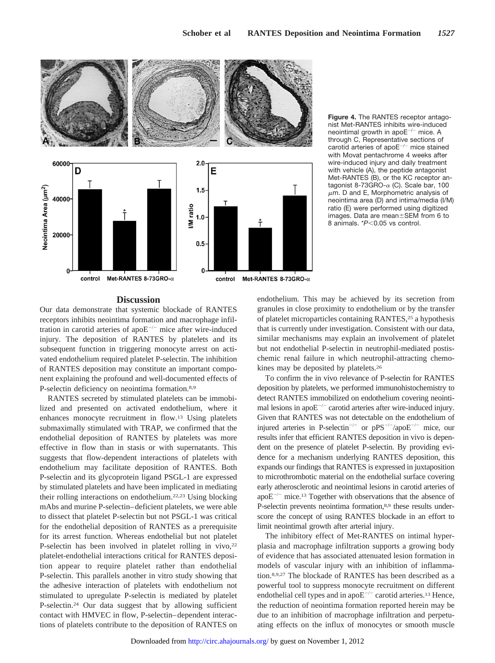

**Figure 4.** The RANTES receptor antagonist Met-RANTES inhibits wire-induced neointimal growth in apo $E^{-/-}$  mice. A through C, Representative sections of carotid arteries of apo $E^{-/-}$  mice stained with Movat pentachrome 4 weeks after wire-induced injury and daily treatment with vehicle (A), the peptide antagonist Met-RANTES (B), or the KC receptor antagonist 8-73GRO- $\alpha$  (C). Scale bar, 100  $\mu$ m. D and E, Morphometric analysis of neointima area (D) and intima/media (I/M) ratio (E) were performed using digitized images. Data are mean±SEM from 6 to 8 animals. \* $P$ <0.05 vs control.

# **Discussion**

Our data demonstrate that systemic blockade of RANTES receptors inhibits neointima formation and macrophage infiltration in carotid arteries of apo $E^{-/-}$  mice after wire-induced injury. The deposition of RANTES by platelets and its subsequent function in triggering monocyte arrest on activated endothelium required platelet P-selectin. The inhibition of RANTES deposition may constitute an important component explaining the profound and well-documented effects of P-selectin deficiency on neointima formation.8,9

RANTES secreted by stimulated platelets can be immobilized and presented on activated endothelium, where it enhances monocyte recruitment in flow.13 Using platelets submaximally stimulated with TRAP, we confirmed that the endothelial deposition of RANTES by platelets was more effective in flow than in stasis or with supernatants. This suggests that flow-dependent interactions of platelets with endothelium may facilitate deposition of RANTES. Both P-selectin and its glycoprotein ligand PSGL-1 are expressed by stimulated platelets and have been implicated in mediating their rolling interactions on endothelium.22,23 Using blocking mAbs and murine P-selectin–deficient platelets, we were able to dissect that platelet P-selectin but not PSGL-1 was critical for the endothelial deposition of RANTES as a prerequisite for its arrest function. Whereas endothelial but not platelet P-selectin has been involved in platelet rolling in vivo,<sup>22</sup> platelet-endothelial interactions critical for RANTES deposition appear to require platelet rather than endothelial P-selectin. This parallels another in vitro study showing that the adhesive interaction of platelets with endothelium not stimulated to upregulate P-selectin is mediated by platelet P-selectin.24 Our data suggest that by allowing sufficient contact with HMVEC in flow, P-selectin–dependent interactions of platelets contribute to the deposition of RANTES on

endothelium. This may be achieved by its secretion from granules in close proximity to endothelium or by the transfer of platelet microparticles containing RANTES,<sup>25</sup> a hypothesis that is currently under investigation. Consistent with our data, similar mechanisms may explain an involvement of platelet but not endothelial P-selectin in neutrophil-mediated postischemic renal failure in which neutrophil-attracting chemokines may be deposited by platelets.26

To confirm the in vivo relevance of P-selectin for RANTES deposition by platelets, we performed immunohistochemistry to detect RANTES immobilized on endothelium covering neointimal lesions in apo $E^{-/-}$  carotid arteries after wire-induced injury. Given that RANTES was not detectable on the endothelium of injured arteries in P-selectin<sup>-/-</sup> or  $pPS^{-/-}/apoE^{-/-}$  mice, our results infer that efficient RANTES deposition in vivo is dependent on the presence of platelet P-selectin. By providing evidence for a mechanism underlying RANTES deposition, this expands our findings that RANTES is expressed in juxtaposition to microthrombotic material on the endothelial surface covering early atherosclerotic and neointimal lesions in carotid arteries of  $apoE^{-/-}$  mice.<sup>13</sup> Together with observations that the absence of P-selectin prevents neointima formation,<sup>8,9</sup> these results underscore the concept of using RANTES blockade in an effort to limit neointimal growth after arterial injury.

The inhibitory effect of Met-RANTES on intimal hyperplasia and macrophage infiltration supports a growing body of evidence that has associated attenuated lesion formation in models of vascular injury with an inhibition of inflammation.8,9,27 The blockade of RANTES has been described as a powerful tool to suppress monocyte recruitment on different endothelial cell types and in apo $E^{-/-}$  carotid arteries.<sup>13</sup> Hence, the reduction of neointima formation reported herein may be due to an inhibition of macrophage infiltration and perpetuating effects on the influx of monocytes or smooth muscle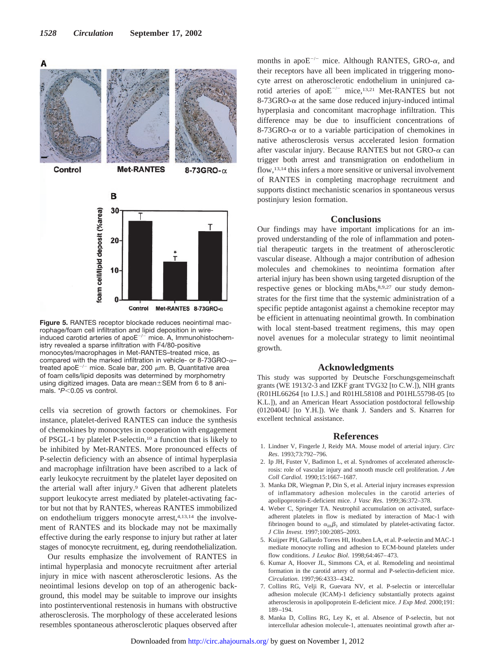



**Figure 5.** RANTES receptor blockade reduces neointimal macrophage/foam cell infiltration and lipid deposition in wireinduced carotid arteries of apo $E^{-/-}$  mice. A, Immunohistochemistry revealed a sparse infiltration with F4/80-positive monocytes/macrophages in Met-RANTES–treated mice, as compared with the marked infiltration in vehicle- or 8-73GRO- $\alpha$ treated apoE<sup>-/-</sup> mice. Scale bar, 200  $\mu$ m. B, Quantitative area of foam cells/lipid deposits was determined by morphometry using digitized images. Data are mean $\pm$ SEM from 6 to 8 animals. \**P*<0.05 vs control.

cells via secretion of growth factors or chemokines. For instance, platelet-derived RANTES can induce the synthesis of chemokines by monocytes in cooperation with engagement of PSGL-1 by platelet P-selectin,10 a function that is likely to be inhibited by Met-RANTES. More pronounced effects of P-selectin deficiency with an absence of intimal hyperplasia and macrophage infiltration have been ascribed to a lack of early leukocyte recruitment by the platelet layer deposited on the arterial wall after injury.<sup>9</sup> Given that adherent platelets support leukocyte arrest mediated by platelet-activating factor but not that by RANTES, whereas RANTES immobilized on endothelium triggers monocyte arrest,<sup>4,13,14</sup> the involvement of RANTES and its blockade may not be maximally effective during the early response to injury but rather at later stages of monocyte recruitment, eg, during reendothelialization.

Our results emphasize the involvement of RANTES in intimal hyperplasia and monocyte recruitment after arterial injury in mice with nascent atherosclerotic lesions. As the neointimal lesions develop on top of an atherogenic background, this model may be suitable to improve our insights into postinterventional restenosis in humans with obstructive atherosclerosis. The morphology of these accelerated lesions resembles spontaneous atherosclerotic plaques observed after

months in apo $E^{-/-}$  mice. Although RANTES, GRO- $\alpha$ , and their receptors have all been implicated in triggering monocyte arrest on atherosclerotic endothelium in uninjured carotid arteries of apo $E^{-/-}$  mice,<sup>13,21</sup> Met-RANTES but not  $8-73$ GRO- $\alpha$  at the same dose reduced injury-induced intimal hyperplasia and concomitant macrophage infiltration. This difference may be due to insufficient concentrations of  $8-73$ GRO- $\alpha$  or to a variable participation of chemokines in native atherosclerosis versus accelerated lesion formation after vascular injury. Because RANTES but not GRO- $\alpha$  can trigger both arrest and transmigration on endothelium in flow,13,14 this infers a more sensitive or universal involvement of RANTES in completing macrophage recruitment and supports distinct mechanistic scenarios in spontaneous versus postinjury lesion formation.

# **Conclusions**

Our findings may have important implications for an improved understanding of the role of inflammation and potential therapeutic targets in the treatment of atherosclerotic vascular disease. Although a major contribution of adhesion molecules and chemokines to neointima formation after arterial injury has been shown using targeted disruption of the respective genes or blocking mAbs,<sup>8,9,27</sup> our study demonstrates for the first time that the systemic administration of a specific peptide antagonist against a chemokine receptor may be efficient in attenuating neointimal growth. In combination with local stent-based treatment regimens, this may open novel avenues for a molecular strategy to limit neointimal growth.

# **Acknowledgments**

This study was supported by Deutsche Forschungsgemeinschaft grants (WE 1913/2-3 and IZKF grant TVG32 [to C.W.]), NIH grants (R01HL66264 [to I.J.S.] and R01HL58108 and P01HL55798-05 [to K.L.]), and an American Heart Association postdoctoral fellowship (0120404U [to Y.H.]). We thank J. Sanders and S. Knarren for excellent technical assistance.

#### **References**

- 1. Lindner V, Fingerle J, Reidy MA. Mouse model of arterial injury. *Circ Res*. 1993;73:792–796.
- 2. Ip JH, Fuster V, Badimon L, et al. Syndromes of accelerated atherosclerosis: role of vascular injury and smooth muscle cell proliferation. *J Am Coll Cardiol*. 1990;15:1667–1687.
- 3. Manka DR, Wiegman P, Din S, et al. Arterial injury increases expression of inflammatory adhesion molecules in the carotid arteries of apolipoprotein-E-deficient mice. *J Vasc Res*. 1999;36:372–378.
- 4. Weber C, Springer TA. Neutrophil accumulation on activated, surfaceadherent platelets in flow is mediated by interaction of Mac-1 with fibrinogen bound to  $\alpha_{\text{IIb}}\beta_3$  and stimulated by platelet-activating factor. *J Clin Invest*. 1997;100:2085–2093.
- 5. Kuijper PH, Gallardo Torres HI, Houben LA, et al. P-selectin and MAC-1 mediate monocyte rolling and adhesion to ECM-bound platelets under flow conditions. *J Leukoc Biol*. 1998;64:467–473.
- 6. Kumar A, Hoover JL, Simmons CA, et al. Remodeling and neointimal formation in the carotid artery of normal and P-selectin-deficient mice. *Circulation*. 1997;96:4333–4342.
- 7. Collins RG, Velji R, Guevara NV, et al. P-selectin or intercellular adhesion molecule (ICAM)-1 deficiency substantially protects against atherosclerosis in apolipoprotein E-deficient mice. *J Exp Med*. 2000;191: 189–194.
- 8. Manka D, Collins RG, Ley K, et al. Absence of P-selectin, but not intercellular adhesion molecule-1, attenuates neointimal growth after ar-